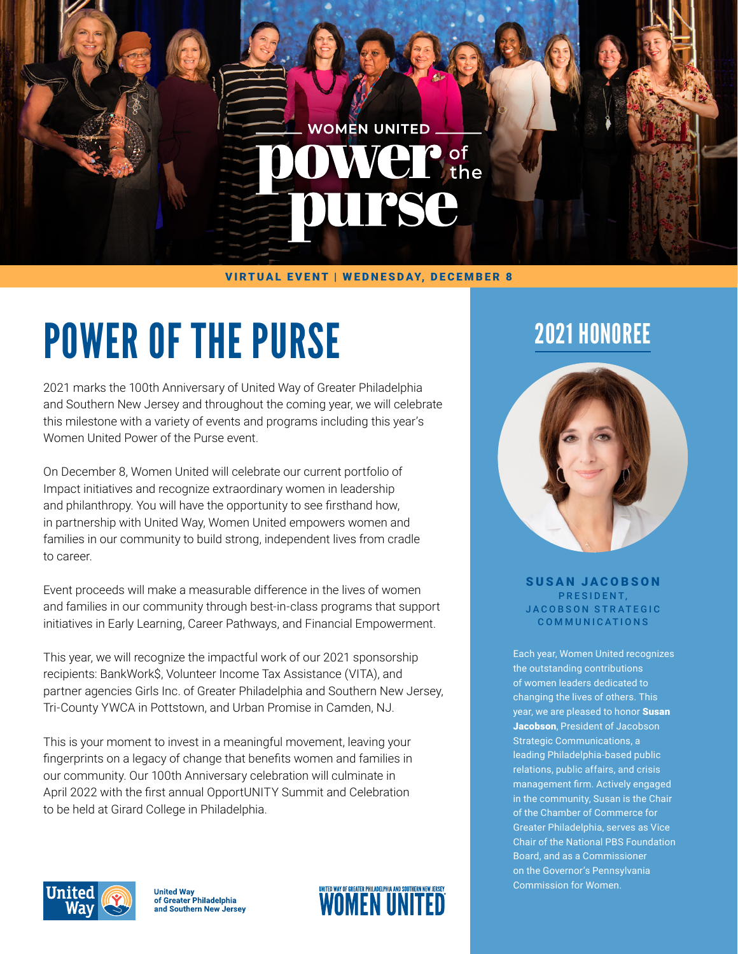#### VIRTUAL EVENT | WEDNESDAY, DECEMBER 8

**WOMEN UNITED** 

 $VCT$  of the

**TSC** 

# POWER OF THE PURSE

2021 marks the 100th Anniversary of United Way of Greater Philadelphia and Southern New Jersey and throughout the coming year, we will celebrate this milestone with a variety of events and programs including this year's Women United Power of the Purse event.

On December 8, Women United will celebrate our current portfolio of Impact initiatives and recognize extraordinary women in leadership and philanthropy. You will have the opportunity to see firsthand how, in partnership with United Way, Women United empowers women and families in our community to build strong, independent lives from cradle to career.

Event proceeds will make a measurable difference in the lives of women and families in our community through best-in-class programs that support initiatives in Early Learning, Career Pathways, and Financial Empowerment.

This year, we will recognize the impactful work of our 2021 sponsorship recipients: BankWork\$, Volunteer Income Tax Assistance (VITA), and partner agencies Girls Inc. of Greater Philadelphia and Southern New Jersey, Tri-County YWCA in Pottstown, and Urban Promise in Camden, NJ.

This is your moment to invest in a meaningful movement, leaving your fingerprints on a legacy of change that benefits women and families in our community. Our 100th Anniversary celebration will culminate in April 2022 with the first annual OpportUNITY Summit and Celebration to be held at Girard College in Philadelphia.

## 2021 HONOREE



SUSAN JACOBSON PRESIDENT. JACOBSON STRATEGIC COMMUNICATIONS

Each year, Women United recognizes the outstanding contributions of women leaders dedicated to changing the lives of others. This year, we are pleased to honor Susan Jacobson, President of Jacobson Strategic Communications, a leading Philadelphia-based public relations, public affairs, and crisis management firm. Actively engaged in the community, Susan is the Chair of the Chamber of Commerce for Greater Philadelphia, serves as Vice Chair of the National PBS Foundation Board, and as a Commissioner on the Governor's Pennsylvania Commission for Women.



United Way<br>of Greater Philadelphia and Southern New Jersey